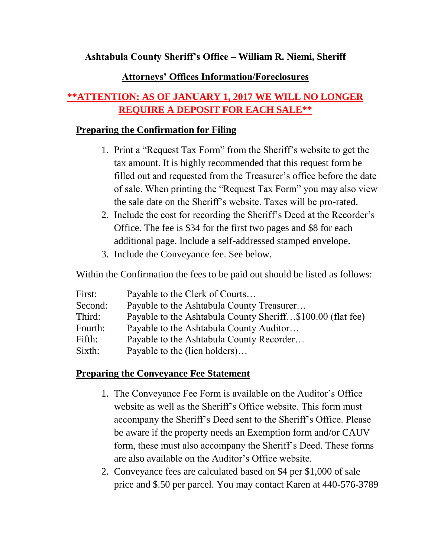**Ashtabula County Sheriff's Office – William R. Niemi, Sheriff**

## **Attorneys' Offices Information/Foreclosures**

# **\*\*ATTENTION: AS OF JANUARY 1, 2017 WE WILL NO LONGER REQUIRE A DEPOSIT FOR EACH SALE\*\***

#### **Preparing the Confirmation for Filing**

- 1. Print a "Request Tax Form" from the Sheriff's website to get the tax amount. It is highly recommended that this request form be filled out and requested from the Treasurer's office before the date of sale. When printing the "Request Tax Form" you may also view the sale date on the Sheriff's website. Taxes will be pro-rated.
- 2. Include the cost for recording the Sheriff's Deed at the Recorder's Office. The fee is \$34 for the first two pages and \$8 for each additional page. Include a self-addressed stamped envelope.
- 3. Include the Conveyance fee. See below.

Within the Confirmation the fees to be paid out should be listed as follows:

| First:  | Payable to the Clerk of Courts                             |
|---------|------------------------------------------------------------|
| Second: | Payable to the Ashtabula County Treasurer                  |
| Third:  | Payable to the Ashtabula County Sheriff\$100.00 (flat fee) |
| Fourth: | Payable to the Ashtabula County Auditor                    |
| Fifth:  | Payable to the Ashtabula County Recorder                   |
| Sixth:  | Payable to the (lien holders)                              |

## **Preparing the Conveyance Fee Statement**

- 1. The Conveyance Fee Form is available on the Auditor's Office website as well as the Sheriff's Office website. This form must accompany the Sheriff's Deed sent to the Sheriff's Office. Please be aware if the property needs an Exemption form and/or CAUV form, these must also accompany the Sheriff's Deed. These forms are also available on the Auditor's Office website.
- 2. Conveyance fees are calculated based on \$4 per \$1,000 of sale price and \$.50 per parcel. You may contact Karen at 440-576-3789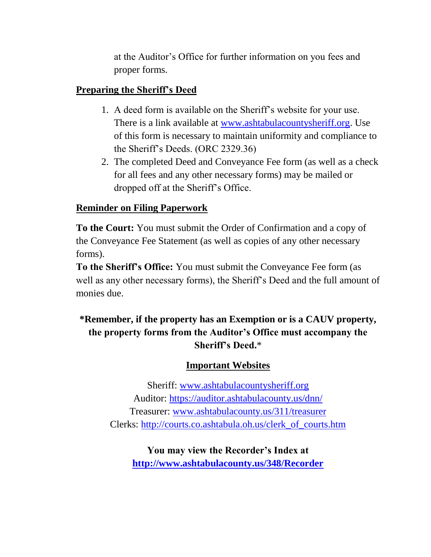at the Auditor's Office for further information on you fees and proper forms.

## **Preparing the Sheriff's Deed**

- 1. A deed form is available on the Sheriff's website for your use. There is a link available at [www.ashtabulacountysheriff.org.](http://www.ashtabulacountysheriff.org/) Use of this form is necessary to maintain uniformity and compliance to the Sheriff's Deeds. (ORC 2329.36)
- 2. The completed Deed and Conveyance Fee form (as well as a check for all fees and any other necessary forms) may be mailed or dropped off at the Sheriff's Office.

# **Reminder on Filing Paperwork**

**To the Court:** You must submit the Order of Confirmation and a copy of the Conveyance Fee Statement (as well as copies of any other necessary forms).

**To the Sheriff's Office:** You must submit the Conveyance Fee form (as well as any other necessary forms), the Sheriff's Deed and the full amount of monies due.

# **\*Remember, if the property has an Exemption or is a CAUV property, the property forms from the Auditor's Office must accompany the Sheriff's Deed.**\*

## **Important Websites**

Sheriff: [www.ashtabulacountysheriff.org](http://www.ashtabulacountysheriff.org/) Auditor:<https://auditor.ashtabulacounty.us/dnn/> Treasurer: [www.ashtabulacounty.us/311/treasurer](http://www.ashtabulacounty.us/311/treasurer) Clerks: [http://courts.co.ashtabula.oh.us/clerk\\_of\\_courts.htm](http://courts.co.ashtabula.oh.us/clerk_of_courts.htm)

**You may view the Recorder's Index at <http://www.ashtabulacounty.us/348/Recorder>**